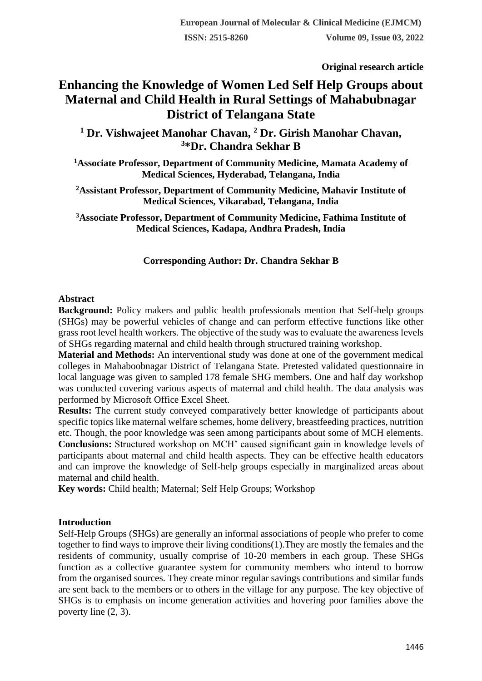**Original research article** 

# **Enhancing the Knowledge of Women Led Self Help Groups about Maternal and Child Health in Rural Settings of Mahabubnagar District of Telangana State**

**<sup>1</sup> Dr. Vishwajeet Manohar Chavan, <sup>2</sup> Dr. Girish Manohar Chavan, <sup>3</sup>\*Dr. Chandra Sekhar B**

**<sup>1</sup>Associate Professor, Department of Community Medicine, Mamata Academy of Medical Sciences, Hyderabad, Telangana, India**

**<sup>2</sup>Assistant Professor, Department of Community Medicine, Mahavir Institute of Medical Sciences, Vikarabad, Telangana, India**

**<sup>3</sup>Associate Professor, Department of Community Medicine, Fathima Institute of Medical Sciences, Kadapa, Andhra Pradesh, India**

## **Corresponding Author: Dr. Chandra Sekhar B**

#### **Abstract**

**Background:** Policy makers and public health professionals mention that Self-help groups (SHGs) may be powerful vehicles of change and can perform effective functions like other grass root level health workers. The objective of the study was to evaluate the awareness levels of SHGs regarding maternal and child health through structured training workshop.

**Material and Methods:** An interventional study was done at one of the government medical colleges in Mahaboobnagar District of Telangana State. Pretested validated questionnaire in local language was given to sampled 178 female SHG members. One and half day workshop was conducted covering various aspects of maternal and child health. The data analysis was performed by Microsoft Office Excel Sheet.

**Results:** The current study conveyed comparatively better knowledge of participants about specific topics like maternal welfare schemes, home delivery, breastfeeding practices, nutrition etc. Though, the poor knowledge was seen among participants about some of MCH elements.

**Conclusions:** Structured workshop on MCH' caused significant gain in knowledge levels of participants about maternal and child health aspects. They can be effective health educators and can improve the knowledge of Self-help groups especially in marginalized areas about maternal and child health.

**Key words:** Child health; Maternal; Self Help Groups; Workshop

#### **Introduction**

Self-Help Groups (SHGs) are generally an informal associations of people who prefer to come together to find ways to improve their living conditions(1).They are mostly the females and the residents of community, usually comprise of 10-20 members in each group. These SHGs function as a collective guarantee system for community members who intend to borrow from the organised sources. They create minor regular savings contributions and similar funds are sent back to the members or to others in the village for any purpose. The key objective of SHGs is to emphasis on income generation activities and hovering poor families above the poverty line (2, 3).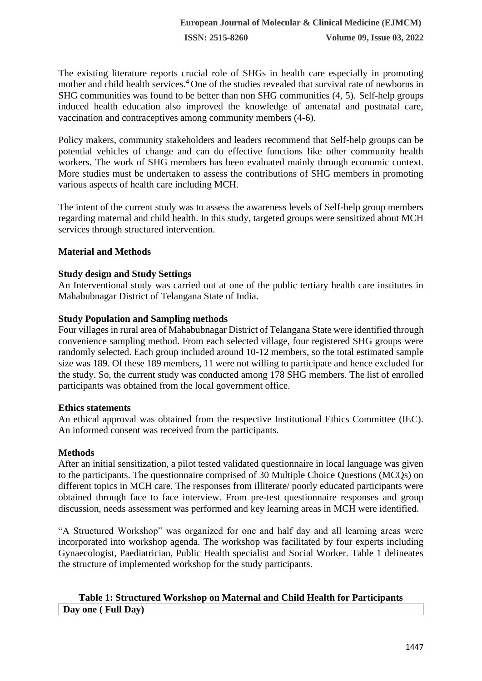The existing literature reports crucial role of SHGs in health care especially in promoting mother and child health services.<sup>4</sup> One of the studies revealed that survival rate of newborns in SHG communities was found to be better than non SHG communities (4, 5). Self-help groups induced health education also improved the knowledge of antenatal and postnatal care, vaccination and contraceptives among community members (4-6).

Policy makers, community stakeholders and leaders recommend that Self-help groups can be potential vehicles of change and can do effective functions like other community health workers. The work of SHG members has been evaluated mainly through economic context. More studies must be undertaken to assess the contributions of SHG members in promoting various aspects of health care including MCH.

The intent of the current study was to assess the awareness levels of Self-help group members regarding maternal and child health. In this study, targeted groups were sensitized about MCH services through structured intervention.

## **Material and Methods**

## **Study design and Study Settings**

An Interventional study was carried out at one of the public tertiary health care institutes in Mahabubnagar District of Telangana State of India.

#### **Study Population and Sampling methods**

Four villages in rural area of Mahabubnagar District of Telangana State were identified through convenience sampling method. From each selected village, four registered SHG groups were randomly selected. Each group included around 10-12 members, so the total estimated sample size was 189. Of these 189 members, 11 were not willing to participate and hence excluded for the study. So, the current study was conducted among 178 SHG members. The list of enrolled participants was obtained from the local government office.

## **Ethics statements**

An ethical approval was obtained from the respective Institutional Ethics Committee (IEC). An informed consent was received from the participants.

#### **Methods**

After an initial sensitization, a pilot tested validated questionnaire in local language was given to the participants. The questionnaire comprised of 30 Multiple Choice Questions (MCQs) on different topics in MCH care. The responses from illiterate/ poorly educated participants were obtained through face to face interview. From pre-test questionnaire responses and group discussion, needs assessment was performed and key learning areas in MCH were identified.

"A Structured Workshop" was organized for one and half day and all learning areas were incorporated into workshop agenda. The workshop was facilitated by four experts including Gynaecologist, Paediatrician, Public Health specialist and Social Worker. Table 1 delineates the structure of implemented workshop for the study participants.

## **Table 1: Structured Workshop on Maternal and Child Health for Participants Day one ( Full Day)**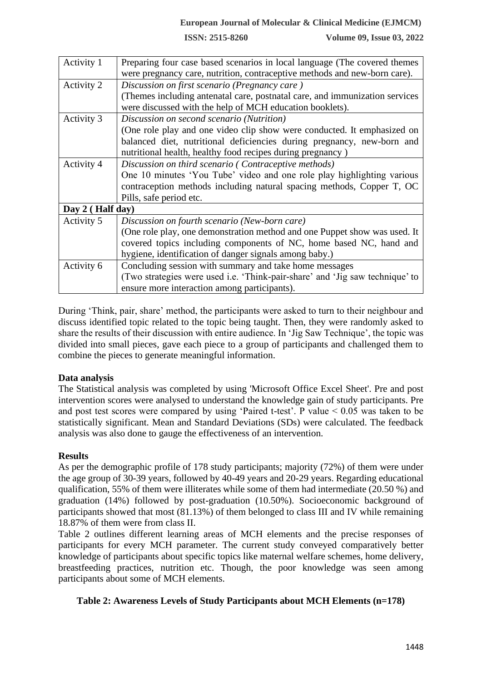**ISSN: 2515-8260 Volume 09, Issue 03, 2022**

| Activity 1        | Preparing four case based scenarios in local language (The covered themes    |  |  |  |  |  |
|-------------------|------------------------------------------------------------------------------|--|--|--|--|--|
|                   | were pregnancy care, nutrition, contraceptive methods and new-born care).    |  |  |  |  |  |
| Activity 2        | Discussion on first scenario (Pregnancy care)                                |  |  |  |  |  |
|                   | (Themes including antenatal care, postnatal care, and immunization services  |  |  |  |  |  |
|                   | were discussed with the help of MCH education booklets).                     |  |  |  |  |  |
| <b>Activity 3</b> | Discussion on second scenario (Nutrition)                                    |  |  |  |  |  |
|                   | (One role play and one video clip show were conducted. It emphasized on      |  |  |  |  |  |
|                   | balanced diet, nutritional deficiencies during pregnancy, new-born and       |  |  |  |  |  |
|                   | nutritional health, healthy food recipes during pregnancy)                   |  |  |  |  |  |
| Activity 4        | Discussion on third scenario (Contraceptive methods)                         |  |  |  |  |  |
|                   | One 10 minutes 'You Tube' video and one role play highlighting various       |  |  |  |  |  |
|                   | contraception methods including natural spacing methods, Copper T, OC        |  |  |  |  |  |
|                   | Pills, safe period etc.                                                      |  |  |  |  |  |
| Day 2 (Half day)  |                                                                              |  |  |  |  |  |
| Activity 5        | Discussion on fourth scenario (New-born care)                                |  |  |  |  |  |
|                   | (One role play, one demonstration method and one Puppet show was used. It    |  |  |  |  |  |
|                   | covered topics including components of NC, home based NC, hand and           |  |  |  |  |  |
|                   | hygiene, identification of danger signals among baby.)                       |  |  |  |  |  |
| Activity 6        | Concluding session with summary and take home messages                       |  |  |  |  |  |
|                   | (Two strategies were used i.e. 'Think-pair-share' and 'Jig saw technique' to |  |  |  |  |  |
|                   | ensure more interaction among participants).                                 |  |  |  |  |  |

During 'Think, pair, share' method, the participants were asked to turn to their neighbour and discuss identified topic related to the topic being taught. Then, they were randomly asked to share the results of their discussion with entire audience. In 'Jig Saw Technique', the topic was divided into small pieces, gave each piece to a group of participants and challenged them to combine the pieces to generate meaningful information.

#### **Data analysis**

The Statistical analysis was completed by using 'Microsoft Office Excel Sheet'. Pre and post intervention scores were analysed to understand the knowledge gain of study participants. Pre and post test scores were compared by using 'Paired t-test'. P value  $< 0.05$  was taken to be statistically significant. Mean and Standard Deviations (SDs) were calculated. The feedback analysis was also done to gauge the effectiveness of an intervention.

#### **Results**

As per the demographic profile of 178 study participants; majority (72%) of them were under the age group of 30-39 years, followed by 40-49 years and 20-29 years. Regarding educational qualification, 55% of them were illiterates while some of them had intermediate (20.50 %) and graduation (14%) followed by post-graduation (10.50%). Socioeconomic background of participants showed that most (81.13%) of them belonged to class III and IV while remaining 18.87% of them were from class II.

Table 2 outlines different learning areas of MCH elements and the precise responses of participants for every MCH parameter. The current study conveyed comparatively better knowledge of participants about specific topics like maternal welfare schemes, home delivery, breastfeeding practices, nutrition etc. Though, the poor knowledge was seen among participants about some of MCH elements.

#### **Table 2: Awareness Levels of Study Participants about MCH Elements (n=178)**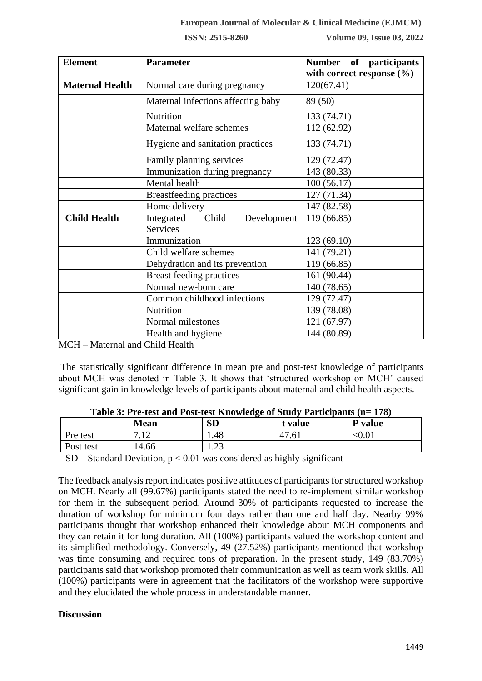**ISSN: 2515-8260 Volume 09, Issue 03, 2022**

| <b>Element</b>         | <b>Parameter</b>                               | Number of participants<br>with correct response $(\% )$ |
|------------------------|------------------------------------------------|---------------------------------------------------------|
| <b>Maternal Health</b> | Normal care during pregnancy                   | 120(67.41)                                              |
|                        | Maternal infections affecting baby             | 89 (50)                                                 |
|                        | Nutrition                                      | 133 (74.71)                                             |
|                        | Maternal welfare schemes                       | 112 (62.92)                                             |
|                        | Hygiene and sanitation practices               | 133 (74.71)                                             |
|                        | Family planning services                       | 129 (72.47)                                             |
|                        | Immunization during pregnancy                  | 143 (80.33)                                             |
|                        | Mental health                                  | 100(56.17)                                              |
|                        | <b>Breastfeeding practices</b>                 | 127 (71.34)                                             |
|                        | Home delivery                                  | 147 (82.58)                                             |
| <b>Child Health</b>    | Child<br>Development<br>Integrated<br>Services | 119 (66.85)                                             |
|                        | Immunization                                   | 123 (69.10)                                             |
|                        | Child welfare schemes                          | 141 (79.21)                                             |
|                        | Dehydration and its prevention                 | 119 (66.85)                                             |
|                        | <b>Breast feeding practices</b>                | 161 (90.44)                                             |
|                        | Normal new-born care                           | 140 (78.65)                                             |
|                        | Common childhood infections                    | 129 (72.47)                                             |
|                        | Nutrition                                      | 139 (78.08)                                             |
|                        | Normal milestones                              | 121 (67.97)                                             |
|                        | Health and hygiene                             | 144 (80.89)                                             |

MCH – Maternal and Child Health

The statistically significant difference in mean pre and post-test knowledge of participants about MCH was denoted in Table 3. It shows that 'structured workshop on MCH' caused significant gain in knowledge levels of participants about maternal and child health aspects.

|           | <b>Mean</b>      | <b>SD</b>  | t value | P value |
|-----------|------------------|------------|---------|---------|
| Pre test  | $\cdot$ + $\sim$ | 1.48       | 47.61   | $0.01$  |
| Post test | 14.66            | ാ<br>ر ے . |         |         |

| Table 3: Pre-test and Post-test Knowledge of Study Participants (n= 178) |  |  |  |
|--------------------------------------------------------------------------|--|--|--|
|                                                                          |  |  |  |

 $SD - Standard Deviation, p < 0.01$  was considered as highly significant

The feedback analysis report indicates positive attitudes of participants for structured workshop on MCH. Nearly all (99.67%) participants stated the need to re-implement similar workshop for them in the subsequent period. Around 30% of participants requested to increase the duration of workshop for minimum four days rather than one and half day. Nearby 99% participants thought that workshop enhanced their knowledge about MCH components and they can retain it for long duration. All (100%) participants valued the workshop content and its simplified methodology. Conversely, 49 (27.52%) participants mentioned that workshop was time consuming and required tons of preparation. In the present study, 149 (83.70%) participants said that workshop promoted their communication as well as team work skills. All (100%) participants were in agreement that the facilitators of the workshop were supportive and they elucidated the whole process in understandable manner.

#### **Discussion**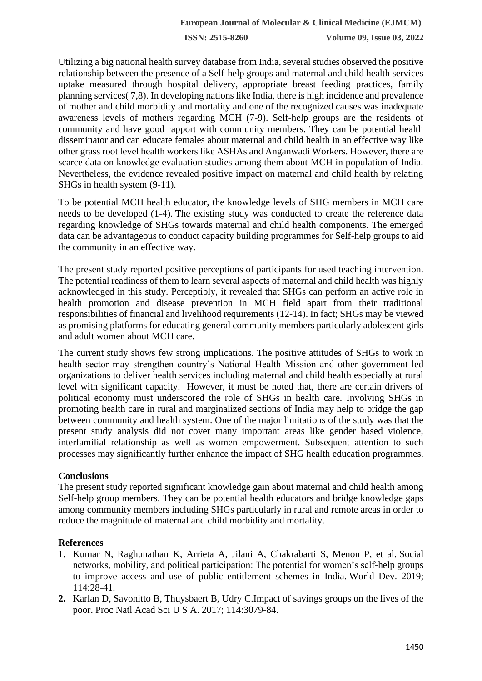**ISSN: 2515-8260 Volume 09, Issue 03, 2022**

Utilizing a big national health survey database from India, several studies observed the positive relationship between the presence of a Self-help groups and maternal and child health services uptake measured through hospital delivery, appropriate breast feeding practices, family planning services( 7,8). In developing nations like India, there is high incidence and prevalence of mother and child morbidity and mortality and one of the recognized causes was inadequate awareness levels of mothers regarding MCH (7-9). Self-help groups are the residents of community and have good rapport with community members. They can be potential health disseminator and can educate females about maternal and child health in an effective way like other grass root level health workers like ASHAs and Anganwadi Workers. However, there are scarce data on knowledge evaluation studies among them about MCH in population of India. Nevertheless, the evidence revealed positive impact on maternal and child health by relating SHGs in health system (9-11).

To be potential MCH health educator, the knowledge levels of SHG members in MCH care needs to be developed (1-4). The existing study was conducted to create the reference data regarding knowledge of SHGs towards maternal and child health components. The emerged data can be advantageous to conduct capacity building programmes for Self-help groups to aid the community in an effective way.

The present study reported positive perceptions of participants for used teaching intervention. The potential readiness of them to learn several aspects of maternal and child health was highly acknowledged in this study. Perceptibly, it revealed that SHGs can perform an active role in health promotion and disease prevention in MCH field apart from their traditional responsibilities of financial and livelihood requirements (12-14). In fact; SHGs may be viewed as promising platforms for educating general community members particularly adolescent girls and adult women about MCH care.

The current study shows few strong implications. The positive attitudes of SHGs to work in health sector may strengthen country's National Health Mission and other government led organizations to deliver health services including maternal and child health especially at rural level with significant capacity. However, it must be noted that, there are certain drivers of political economy must underscored the role of SHGs in health care. Involving SHGs in promoting health care in rural and marginalized sections of India may help to bridge the gap between community and health system. One of the major limitations of the study was that the present study analysis did not cover many important areas like gender based violence, interfamilial relationship as well as women empowerment. Subsequent attention to such processes may significantly further enhance the impact of SHG health education programmes.

#### **Conclusions**

The present study reported significant knowledge gain about maternal and child health among Self-help group members. They can be potential health educators and bridge knowledge gaps among community members including SHGs particularly in rural and remote areas in order to reduce the magnitude of maternal and child morbidity and mortality.

#### **References**

- 1. Kumar N, Raghunathan K, Arrieta A, Jilani A, Chakrabarti S, Menon P, et al. Social networks, mobility, and political participation: The potential for women's self-help groups to improve access and use of public entitlement schemes in India. World Dev. 2019; 114:28-41.
- **2.** Karlan D, Savonitto B, Thuysbaert B, Udry C.Impact of savings groups on the lives of the poor. Proc Natl Acad Sci U S A. 2017; 114:3079-84.